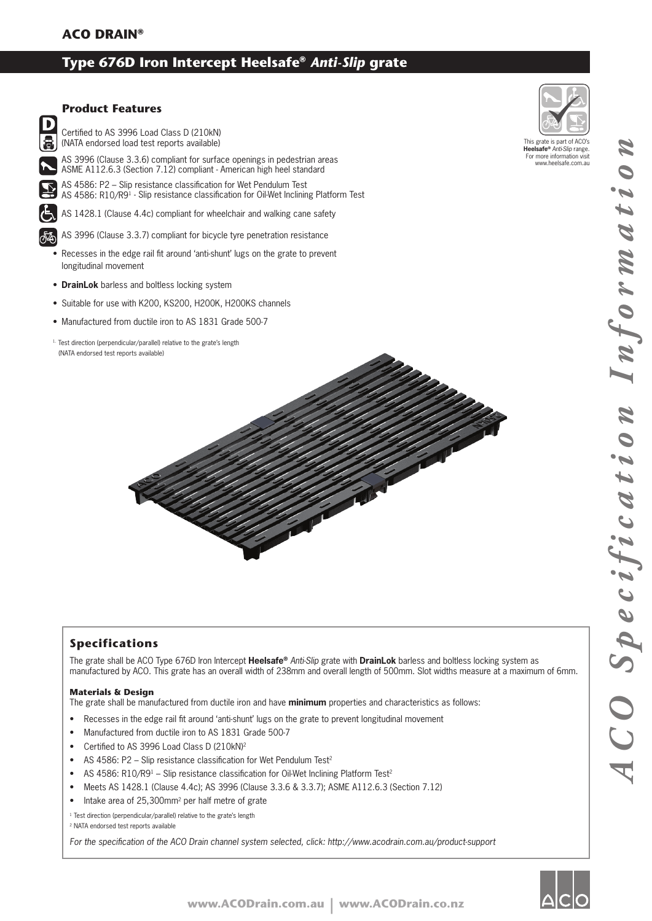# **Type 676D Iron Intercept Heelsafe®** *Anti-Slip* **grate**



#### **Product Features**

Certified to AS 3996 Load Class D (210kN) (NATA endorsed load test reports available)

AS 3996 (Clause 3.3.6) compliant for surface openings in pedestrian areas ASME A112.6.3 (Section 7.12) compliant - American high heel standard

AS 4586: P2 – Slip resistance classification for Wet Pendulum Test AS 4586: R10/R9<sup>1</sup> - Slip resistance classification for Oil-Wet Inclining Platform Test

AS 1428.1 (Clause 4.4c) compliant for wheelchair and walking cane safety

AS 3996 (Clause 3.3.7) compliant for bicycle tyre penetration resistance

- Recesses in the edge rail fit around 'anti-shunt' lugs on the grate to prevent longitudinal movement
- **DrainLok** barless and boltless locking system
- Suitable for use with K200, KS200, H200K, H200KS channels
- Manufactured from ductile iron to AS 1831 Grade 500-7
- 1. Test direction (perpendicular/parallel) relative to the grate's length (NATA endorsed test reports available)



This grate is part of ACO's **Heelsafe®** *Anti-Slip* range. For more information visit www.heelsafe.com.au

## **Specifications**

The grate shall be ACO Type 676D Iron Intercept **Heelsafe®** *Anti-Slip* grate with **DrainLok** barless and boltless locking system as manufactured by ACO. This grate has an overall width of 238mm and overall length of 500mm. Slot widths measure at a maximum of 6mm.

#### **Materials & Design**

The grate shall be manufactured from ductile iron and have **minimum** properties and characteristics as follows:

- Recesses in the edge rail fit around 'anti-shunt' lugs on the grate to prevent longitudinal movement
- Manufactured from ductile iron to AS 1831 Grade 500-7
- Certified to AS 3996 Load Class D (210kN)<sup>2</sup>
- AS 4586: P2 Slip resistance classification for Wet Pendulum Test<sup>2</sup>
- AS 4586: R10/R9<sup>1</sup> Slip resistance classification for Oil-Wet Inclining Platform Test<sup>2</sup>
- Meets AS 1428.1 (Clause 4.4c); AS 3996 (Clause 3.3.6 & 3.3.7); ASME A112.6.3 (Section 7.12)
- Intake area of 25,300mm<sup>2</sup> per half metre of grate

<sup>1</sup> Test direction (perpendicular/parallel) relative to the grate's length

2 NATA endorsed test reports available

For the specification of the ACO Drain channel system selected, click: http://www.acodrain.com.au/product-support